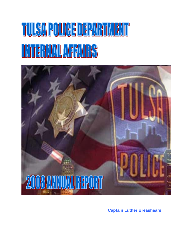# TUISAPOIIOE DEPARTMENT TALLAF ANS



**Captain Luther Breashears**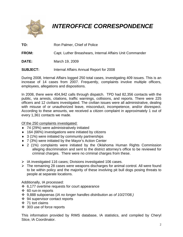

## *INTEROFFICE CORRESPONDENCE*

- **TO:** Ron Palmer, Chief of Police
- **FROM:** Capt. Luther Breashears, Internal Affairs Unit Commander
- **DATE:** March 19, 2009
- **SUBJECT:** Internal Affairs Annual Report for 2008

During 2008, Internal Affairs logged 250 total cases, investigating 409 issues. This is an increase of 14 cases from 2007. Frequently, complaints involve multiple officers, employees, allegations and dispositions.

In 2008, there were 404,942 calls through dispatch. TPD had 82,356 contacts with the public, via arrests, citations, traffic warnings, collisions, and reports. There were 225 officers and 12 civilians investigated. The civilian issues were all administrative, dealing with misuse of or unauthorized leave, misconduct, incompetence, and/or disrespect. According to these amounts, we received a citizen complaint in approximately 1 out of every 1,361 contacts we made.

Of the 250 complaints investigated:

- ♦ 74 (29%) were administratively initiated
- ♦ 164 (66%) investigations were initiated by citizens
- ♦ 3 (1%) were initiated by community partnerships
- ♦ 7 (3%) were initiated by the Mayor's Action Center
- ♦ 2 (1%) complaints were initiated by the Oklahoma Human Rights Commission alleging discrimination and sent to the district attorney's office to be reviewed for criminal charges. There were no criminal charges from these.
- ¾ IA investigated 116 cases; Divisions investigated 106 cases.
- $\triangleright$  The remaining 28 cases were weapons discharges for animal control. All were found to be within policy and the majority of these involving pit bull dogs posing threats to people at separate locations.

Additionally, IA processed:

- 6,177 overtime requests for court appearance
- ❖ 60 run-in reports
- 9,888 subpoenas (*IA no longer handles distribution as of 10/27/08.)*
- **❖** 94 supervisor contact reports
- $\div$  71 tort claims
- 303 use of force reports

This information provided by RIMS database, IA statistics, and compiled by Cheryl Stice, IA Coordinator.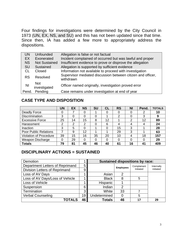Four findings for investigations were determined by the City Council in 1973 (UN, EX, NS, and SU) and this has not been updated since that time. Since then, IA has added a few more to appropriately address the dispositions.

| UN        | <b>Unfounded</b>     | Allegation is false or not factual                                       |
|-----------|----------------------|--------------------------------------------------------------------------|
| EX        | Exonerated           | Incident complained of occurred but was lawful and proper                |
| <b>NS</b> | <b>Not Sustained</b> | Insufficient evidence to prove or disprove the allegation                |
| <b>SU</b> | Sustained            | Allegation is supported by sufficient evidence                           |
| СL        | Closed               | Information not available to proceed with investigation                  |
| <b>RS</b> | Resolved             | Supervisor mediated discussion between citizen and officer,<br>withdrawn |
| NI        | <b>Not</b>           | Officer named originally, investigation proved error                     |
| Pend.     | Pending              | Case remains under investigation at end of year                          |
|           | investigated         |                                                                          |

#### **CASE TYPE AND DISPOSITION**

|                               | <b>UN</b> | EX | <b>NS</b> | <b>SU</b> | <b>CL</b> | <b>RS</b> | <b>NI</b> | Pend. | <b>TOTALS</b> |
|-------------------------------|-----------|----|-----------|-----------|-----------|-----------|-----------|-------|---------------|
| Deadly Force                  |           |    |           |           |           |           |           |       | 10            |
| <b>Discrimination</b>         | 3         |    |           |           |           | 2         |           | 3     | 9             |
| <b>Excessive Force</b>        | 25        | 14 | 15        | 8         | 12        |           | າ         | 12    | 89            |
| Harassment                    | 2         | າ  | っ         |           | 6         |           |           | 4     | 24            |
| Inaction                      | 3         | 5  |           |           | 0         | 15        | 3         |       | 28            |
| <b>Poor Public Relations</b>  |           | 9  | 12        |           |           | 29        | 3         |       | 63            |
| <b>Violation of Procedure</b> | 39        | 15 | 16        | 35        | 20        | 10        |           | 18    | 157           |
| Weapon Discharge              |           | 29 |           |           | 0         |           |           | ი     | 29            |
| <b>Totals</b>                 | 79        | 81 | 45        | 46        | 40        | 61        | 16        | 41    | 409           |

#### **DISCIPLINARY ACTIONS = SUSTAINED**

| Demotion                        |    | <b>Sustained dispositions by race:</b> |                  |             |            |  |  |  |
|---------------------------------|----|----------------------------------------|------------------|-------------|------------|--|--|--|
| Department Letters of Reprimand | 5  |                                        | <b>Employees</b> | Complainant | Internally |  |  |  |
| Division Letters of Reprimand   |    |                                        |                  | Initiated   | initiated  |  |  |  |
| Loss of AV Days                 |    | Asian                                  | $\overline{2}$   |             |            |  |  |  |
| Loss of AV Days/Loss of Vehicle |    | <b>Black</b>                           | 8                | 5           |            |  |  |  |
| Loss of Vehicle                 |    | Hispanic                               |                  |             |            |  |  |  |
| Suspension                      | 6  | Indian                                 | 2                |             |            |  |  |  |
| Termination                     | 3  | White                                  | 33               |             |            |  |  |  |
| <b>Verbal Counseling</b>        |    | Undetermined                           | 0                | 5           |            |  |  |  |
| <b>TOTALS</b>                   | 46 | <b>Totals</b>                          | 46               | 17          | 29         |  |  |  |
|                                 |    |                                        |                  |             |            |  |  |  |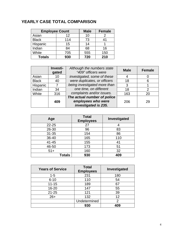### **YEARLY CASE TOTAL COMPARISON**

| <b>Employee Count</b> |     | <b>Male</b> | <b>Female</b> |  |
|-----------------------|-----|-------------|---------------|--|
| Asian                 | 12  | 10          |               |  |
| <b>Black</b>          | 114 | 73          | 41            |  |
| Hispanic              | 15  | 14          |               |  |
| Indian                | 84  | 68          | 16            |  |
| White                 | 705 | 555         | 150           |  |
| <b>Totals</b>         | 930 | 720         | 210           |  |

|              | Investi-<br>gated | Although the numbers state<br>"409" officers were                         | <b>Male</b> | <b>Female</b>  |
|--------------|-------------------|---------------------------------------------------------------------------|-------------|----------------|
| Asian        | 10                | investigated, some of these                                               |             |                |
| <b>Black</b> | 40                | were duplicates, or officers                                              | 18          | 6              |
| Hispanic     | 7                 | being investigated more than                                              | 3           |                |
| Indian       | 34                | one time, on different                                                    | 18          | $\overline{2}$ |
| White        | 316               | complaints and/or issues.                                                 | 163         | 20             |
|              | 409               | The actual number of police<br>employees who were<br>investigated is 235. | 206         | 29             |

| Age           | <b>Total</b><br><b>Employees</b> | Investigated |
|---------------|----------------------------------|--------------|
| $22 - 25$     | 27                               |              |
| 26-30         | 96                               | 83           |
| $31 - 35$     | 154                              | 86           |
| 36-40         | 165                              | 110          |
| $41 - 45$     | 155                              | 41           |
| 46-50         | 173                              | 51           |
| $51+$         | 160                              | 32           |
| <b>Totals</b> | 930                              | 409          |

| <b>Years of Service</b> | <b>Total</b><br><b>Employees</b> | Investigated |  |  |
|-------------------------|----------------------------------|--------------|--|--|
| $1 - 5$                 | 231                              | 180          |  |  |
| $6 - 10$                | 110                              | 54           |  |  |
| $11 - 15$               | 189                              | 67           |  |  |
| 16-20                   | 147                              | 55           |  |  |
| $21 - 25$               | 121                              | 39           |  |  |
| $26+$                   | 132                              | 12           |  |  |
|                         | Undetermined                     | 2            |  |  |
|                         | 930                              | 409          |  |  |